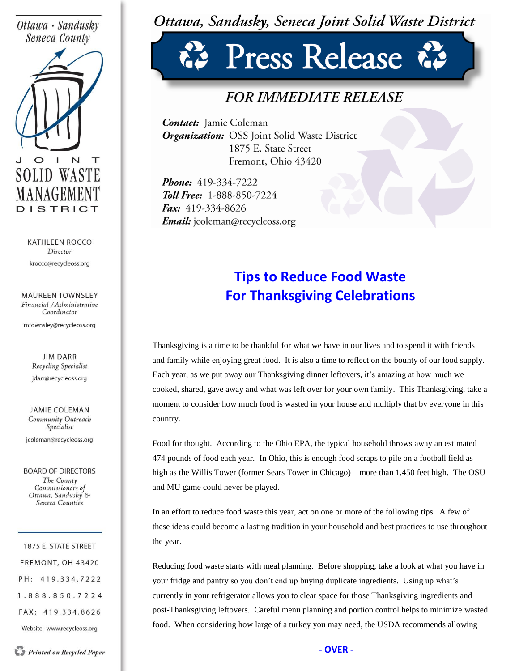#### Ottawa · Sandusky Seneca County



**KATHLEEN ROCCO** Director krocco@recycleoss.org

**MAUREEN TOWNSLEY** Financial / Administrative Coordinator

mtownsley@recycleoss.org

**JIM DARR** Recycling Specialist jdarr@recycleoss.org

**JAMIE COLEMAN** Community Outreach Specialist

jcoleman@recycleoss.org

**BOARD OF DIRECTORS** The County Commissioners of Ottawa, Sandusky & Seneca Counties

1875 E. STATE STREET FREMONT, OH 43420 PH: 419.334.7222 1.888.850.7224 FAX: 419.334.8626

Website: www.recycleoss.org

## Ottawa, Sandusky, Seneca Joint Solid Waste District

# Press Release

### *FOR IMMEDIATE RELEASE*

**Contact:** Jamie Coleman Organization: OSS Joint Solid Waste District 1875 E. State Street Fremont, Ohio 43420

Phone: 419-334-7222 **Toll Free: 1-888-850-7224** Fax: 419-334-8626 *Email:* jcoleman@recycleoss.org

### **Tips to Reduce Food Waste For Thanksgiving Celebrations**

Thanksgiving is a time to be thankful for what we have in our lives and to spend it with friends and family while enjoying great food. It is also a time to reflect on the bounty of our food supply. Each year, as we put away our Thanksgiving dinner leftovers, it's amazing at how much we cooked, shared, gave away and what was left over for your own family. This Thanksgiving, take a moment to consider how much food is wasted in your house and multiply that by everyone in this country.

Food for thought. According to the Ohio EPA, the typical household throws away an estimated 474 pounds of food each year. In Ohio, this is enough food scraps to pile on a football field as high as the Willis Tower (former Sears Tower in Chicago) – more than 1,450 feet high. The OSU and MU game could never be played.

In an effort to reduce food waste this year, act on one or more of the following tips. A few of these ideas could become a lasting tradition in your household and best practices to use throughout the year.

Reducing food waste starts with meal planning. Before shopping, take a look at what you have in your fridge and pantry so you don't end up buying duplicate ingredients. Using up what's currently in your refrigerator allows you to clear space for those Thanksgiving ingredients and post-Thanksgiving leftovers. Careful menu planning and portion control helps to minimize wasted food. When considering how large of a turkey you may need, the USDA recommends allowing